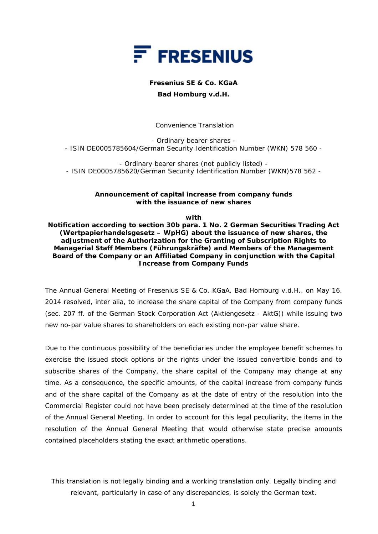

## **Fresenius SE & Co. KGaA**

## **Bad Homburg v.d.H.**

 *Convenience Translation* 

- Ordinary bearer shares - - ISIN DE0005785604/German Security Identification Number (WKN) 578 560 -

- Ordinary bearer shares (not publicly listed) - - ISIN DE0005785620/German Security Identification Number (WKN)578 562 -

## **Announcement of capital increase from company funds with the issuance of new shares**

**with** 

**Notification according to section 30b para. 1 No. 2 German Securities Trading Act (***Wertpapierhandelsgesetz – WpHG***) about the issuance of new shares, the adjustment of the Authorization for the Granting of Subscription Rights to Managerial Staff Members (***Führungskräfte***) and Members of the Management Board of the Company or an Affiliated Company in conjunction with the Capital Increase from Company Funds** 

The Annual General Meeting of Fresenius SE & Co. KGaA, Bad Homburg v.d.H., on May 16, 2014 resolved, inter alia, to increase the share capital of the Company from company funds (sec. 207 ff. of the German Stock Corporation Act (*Aktiengesetz - AktG*)) while issuing two new no-par value shares to shareholders on each existing non-par value share.

Due to the continuous possibility of the beneficiaries under the employee benefit schemes to exercise the issued stock options or the rights under the issued convertible bonds and to subscribe shares of the Company, the share capital of the Company may change at any time. As a consequence, the specific amounts, of the capital increase from company funds and of the share capital of the Company as at the date of entry of the resolution into the Commercial Register could not have been precisely determined at the time of the resolution of the Annual General Meeting. In order to account for this legal peculiarity, the items in the resolution of the Annual General Meeting that would otherwise state precise amounts contained placeholders stating the exact arithmetic operations.

## *This translation is not legally binding and a working translation only. Legally binding and relevant, particularly in case of any discrepancies, is solely the German text.*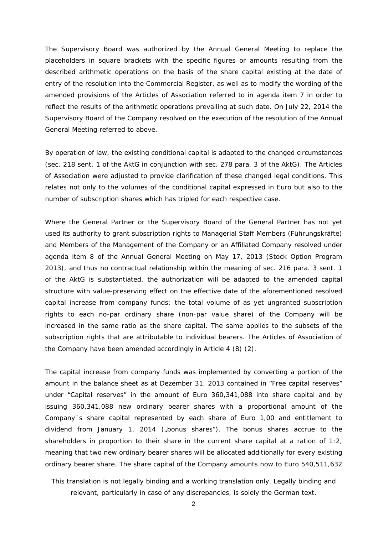The Supervisory Board was authorized by the Annual General Meeting to replace the placeholders in square brackets with the specific figures or amounts resulting from the described arithmetic operations on the basis of the share capital existing at the date of entry of the resolution into the Commercial Register, as well as to modify the wording of the amended provisions of the Articles of Association referred to in agenda item 7 in order to reflect the results of the arithmetic operations prevailing at such date. On July 22, 2014 the Supervisory Board of the Company resolved on the execution of the resolution of the Annual General Meeting referred to above.

By operation of law, the existing conditional capital is adapted to the changed circumstances (sec. 218 sent. 1 of the *AktG* in conjunction with sec. 278 para. 3 of the *AktG*). The Articles of Association were adjusted to provide clarification of these changed legal conditions. This relates not only to the volumes of the conditional capital expressed in Euro but also to the number of subscription shares which has tripled for each respective case.

Where the General Partner or the Supervisory Board of the General Partner has not yet used its authority to grant subscription rights to Managerial Staff Members (*Führungskräfte*) and Members of the Management of the Company or an Affiliated Company resolved under agenda item 8 of the Annual General Meeting on May 17, 2013 (Stock Option Program 2013), and thus no contractual relationship within the meaning of sec. 216 para. 3 sent. 1 of the *AktG* is substantiated, the authorization will be adapted to the amended capital structure with value-preserving effect on the effective date of the aforementioned resolved capital increase from company funds: the total volume of as yet ungranted subscription rights to each no-par ordinary share (non-par value share) of the Company will be increased in the same ratio as the share capital. The same applies to the subsets of the subscription rights that are attributable to individual bearers. The Articles of Association of the Company have been amended accordingly in Article 4 (8) (2).

The capital increase from company funds was implemented by converting a portion of the amount in the balance sheet as at Dezember 31, 2013 contained in "Free capital reserves" under "Capital reserves" in the amount of Euro 360,341,088 into share capital and by issuing 360,341,088 new ordinary bearer shares with a proportional amount of the Company´s share capital represented by each share of Euro 1,00 and entitlement to dividend from January 1, 2014 ("bonus shares"). The bonus shares accrue to the shareholders in proportion to their share in the current share capital at a ration of 1:2, meaning that two new ordinary bearer shares will be allocated additionally for every existing ordinary bearer share. The share capital of the Company amounts now to Euro 540,511,632

*This translation is not legally binding and a working translation only. Legally binding and relevant, particularly in case of any discrepancies, is solely the German text.*